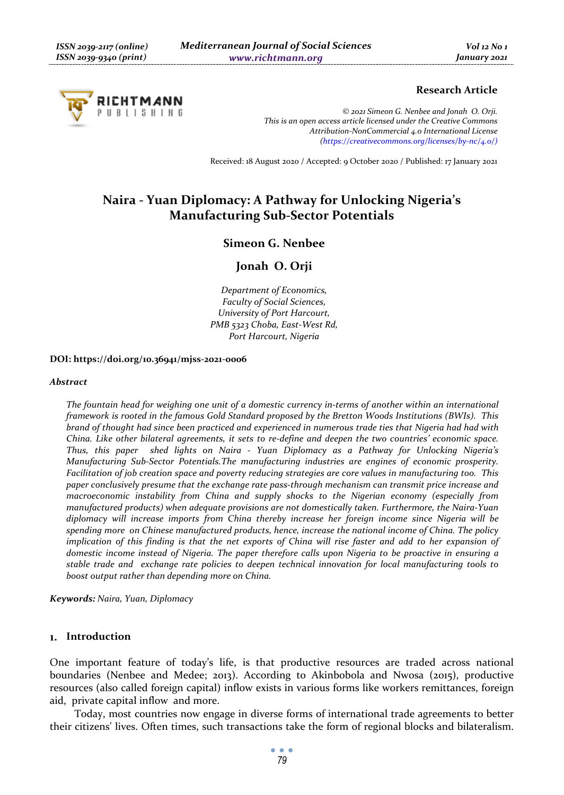

# **Research Article**

*© 2021 Simeon G. Nenbee and Jonah O. Orji. This is an open access article licensed under the Creative Commons Attribution-NonCommercial 4.0 International License (https://creativecommons.org/licenses/by-nc/4.0/)*

Received: 18 August 2020 / Accepted: 9 October 2020 / Published: 17 January 2021

# **Naira - Yuan Diplomacy: A Pathway for Unlocking Nigeria's Manufacturing Sub-Sector Potentials**

## **Simeon G. Nenbee**

# **Jonah O. Orji**

*Department of Economics, Faculty of Social Sciences, University of Port Harcourt, PMB 5323 Choba, East-West Rd, Port Harcourt, Nigeria* 

#### **DOI: https://doi.org/10.36941/mjss-2021-0006**

#### *Abstract*

*The fountain head for weighing one unit of a domestic currency in-terms of another within an international framework is rooted in the famous Gold Standard proposed by the Bretton Woods Institutions (BWIs). This brand of thought had since been practiced and experienced in numerous trade ties that Nigeria had had with China. Like other bilateral agreements, it sets to re-define and deepen the two countries' economic space. Thus, this paper shed lights on Naira - Yuan Diplomacy as a Pathway for Unlocking Nigeria's Manufacturing Sub-Sector Potentials.The manufacturing industries are engines of economic prosperity. Facilitation of job creation space and poverty reducing strategies are core values in manufacturing too. This paper conclusively presume that the exchange rate pass-through mechanism can transmit price increase and macroeconomic instability from China and supply shocks to the Nigerian economy (especially from manufactured products) when adequate provisions are not domestically taken. Furthermore, the Naira-Yuan diplomacy will increase imports from China thereby increase her foreign income since Nigeria will be spending more on Chinese manufactured products, hence, increase the national income of China. The policy implication of this finding is that the net exports of China will rise faster and add to her expansion of domestic income instead of Nigeria. The paper therefore calls upon Nigeria to be proactive in ensuring a stable trade and exchange rate policies to deepen technical innovation for local manufacturing tools to boost output rather than depending more on China.* 

*Keywords: Naira, Yuan, Diplomacy* 

#### **Introduction**

One important feature of today's life, is that productive resources are traded across national boundaries (Nenbee and Medee; 2013). According to Akinbobola and Nwosa (2015), productive resources (also called foreign capital) inflow exists in various forms like workers remittances, foreign aid, private capital inflow and more.

Today, most countries now engage in diverse forms of international trade agreements to better their citizens' lives. Often times, such transactions take the form of regional blocks and bilateralism.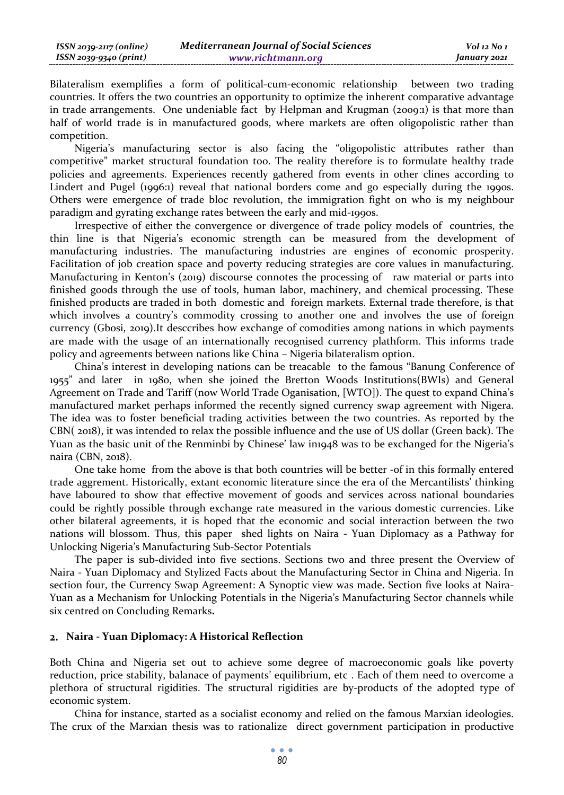Bilateralism exemplifies a form of political-cum-economic relationship between two trading countries. It offers the two countries an opportunity to optimize the inherent comparative advantage in trade arrangements. One undeniable fact by Helpman and Krugman (2009:1) is that more than half of world trade is in manufactured goods, where markets are often oligopolistic rather than competition.

Nigeria's manufacturing sector is also facing the "oligopolistic attributes rather than competitive" market structural foundation too. The reality therefore is to formulate healthy trade policies and agreements. Experiences recently gathered from events in other clines according to Lindert and Pugel (1996:1) reveal that national borders come and go especially during the 1990s. Others were emergence of trade bloc revolution, the immigration fight on who is my neighbour paradigm and gyrating exchange rates between the early and mid-1990s.

Irrespective of either the convergence or divergence of trade policy models of countries, the thin line is that Nigeria's economic strength can be measured from the development of manufacturing industries. The manufacturing industries are engines of economic prosperity. Facilitation of job creation space and poverty reducing strategies are core values in manufacturing. Manufacturing in Kenton's (2019) discourse connotes the processing of raw material or parts into finished goods through the use of tools, human labor, machinery, and chemical processing. These finished products are traded in both domestic and foreign markets. External trade therefore, is that which involves a country's commodity crossing to another one and involves the use of foreign currency (Gbosi, 2019).It desccribes how exchange of comodities among nations in which payments are made with the usage of an internationally recognised currency plathform. This informs trade policy and agreements between nations like China – Nigeria bilateralism option.

China's interest in developing nations can be treacable to the famous "Banung Conference of 1955" and later in 1980, when she joined the Bretton Woods Institutions(BWIs) and General Agreement on Trade and Tariff (now World Trade Oganisation, [WTO]). The quest to expand China's manufactured market perhaps informed the recently signed currency swap agreement with Nigera. The idea was to foster beneficial trading activities between the two countries. As reported by the CBN( 2018), it was intended to relax the possible influence and the use of US dollar (Green back). The Yuan as the basic unit of the Renminbi by Chinese' law in1948 was to be exchanged for the Nigeria's naira (CBN, 2018).

One take home from the above is that both countries will be better -of in this formally entered trade aggrement. Historically, extant economic literature since the era of the Mercantilists' thinking have laboured to show that effective movement of goods and services across national boundaries could be rightly possible through exchange rate measured in the various domestic currencies. Like other bilateral agreements, it is hoped that the economic and social interaction between the two nations will blossom. Thus, this paper shed lights on Naira - Yuan Diplomacy as a Pathway for Unlocking Nigeria's Manufacturing Sub-Sector Potentials

The paper is sub-divided into five sections. Sections two and three present the Overview of Naira - Yuan Diplomacy and Stylized Facts about the Manufacturing Sector in China and Nigeria. In section four, the Currency Swap Agreement: A Synoptic view was made. Section five looks at Naira-Yuan as a Mechanism for Unlocking Potentials in the Nigeria's Manufacturing Sector channels while six centred on Concluding Remarks**.**

### **Naira - Yuan Diplomacy: A Historical Reflection**

Both China and Nigeria set out to achieve some degree of macroeconomic goals like poverty reduction, price stability, balanace of payments' equilibrium, etc . Each of them need to overcome a plethora of structural rigidities. The structural rigidities are by-products of the adopted type of economic system.

China for instance, started as a socialist economy and relied on the famous Marxian ideologies. The crux of the Marxian thesis was to rationalize direct government participation in productive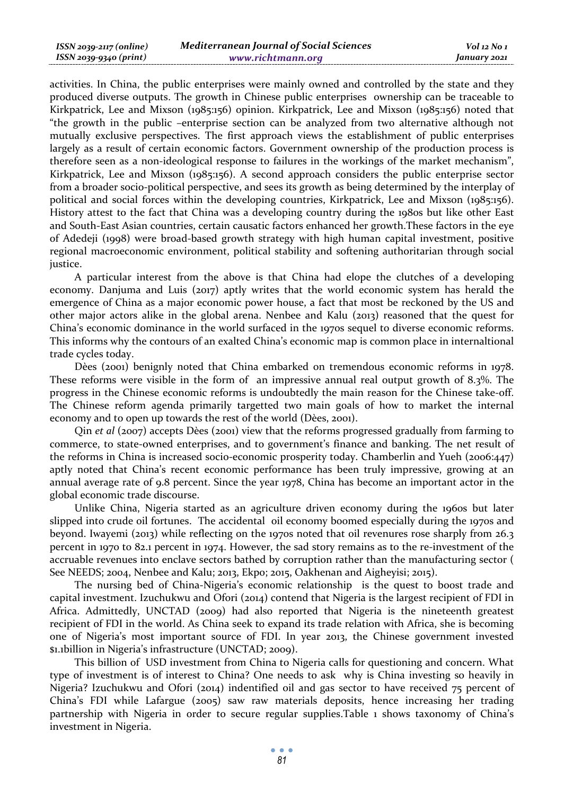activities. In China, the public enterprises were mainly owned and controlled by the state and they produced diverse outputs. The growth in Chinese public enterprises ownership can be traceable to Kirkpatrick, Lee and Mixson (1985:156) opinion. Kirkpatrick, Lee and Mixson (1985:156) noted that "the growth in the public –enterprise section can be analyzed from two alternative although not mutually exclusive perspectives. The first approach views the establishment of public enterprises largely as a result of certain economic factors. Government ownership of the production process is therefore seen as a non-ideological response to failures in the workings of the market mechanism", Kirkpatrick, Lee and Mixson (1985:156). A second approach considers the public enterprise sector from a broader socio-political perspective, and sees its growth as being determined by the interplay of political and social forces within the developing countries, Kirkpatrick, Lee and Mixson (1985:156). History attest to the fact that China was a developing country during the 1980s but like other East and South-East Asian countries, certain causatic factors enhanced her growth.These factors in the eye of Adedeji (1998) were broad-based growth strategy with high human capital investment, positive regional macroeconomic environment, political stability and softening authoritarian through social justice.

A particular interest from the above is that China had elope the clutches of a developing economy. Danjuma and Luis (2017) aptly writes that the world economic system has herald the emergence of China as a major economic power house, a fact that most be reckoned by the US and other major actors alike in the global arena. Nenbee and Kalu (2013) reasoned that the quest for China's economic dominance in the world surfaced in the 1970s sequel to diverse economic reforms. This informs why the contours of an exalted China's economic map is common place in internaltional trade cycles today.

Dèes (2001) benignly noted that China embarked on tremendous economic reforms in 1978. These reforms were visible in the form of an impressive annual real output growth of 8.3%. The progress in the Chinese economic reforms is undoubtedly the main reason for the Chinese take-off. The Chinese reform agenda primarily targetted two main goals of how to market the internal economy and to open up towards the rest of the world (Dèes, 2001).

Qin *et al* (2007) accepts Dèes (2001) view that the reforms progressed gradually from farming to commerce, to state-owned enterprises, and to government's finance and banking. The net result of the reforms in China is increased socio-economic prosperity today. Chamberlin and Yueh (2006:447) aptly noted that China's recent economic performance has been truly impressive, growing at an annual average rate of 9.8 percent. Since the year 1978, China has become an important actor in the global economic trade discourse.

Unlike China, Nigeria started as an agriculture driven economy during the 1960s but later slipped into crude oil fortunes. The accidental oil economy boomed especially during the 1970s and beyond. Iwayemi (2013) while reflecting on the 1970s noted that oil revenures rose sharply from 26.3 percent in 1970 to 82.1 percent in 1974. However, the sad story remains as to the re-investment of the accruable revenues into enclave sectors bathed by corruption rather than the manufacturing sector ( See NEEDS; 2004, Nenbee and Kalu; 2013, Ekpo; 2015, Oakhenan and Aigheyisi; 2015).

The nursing bed of China-Nigeria's economic relationship is the quest to boost trade and capital investment. Izuchukwu and Ofori (2014) contend that Nigeria is the largest recipient of FDI in Africa. Admittedly, UNCTAD (2009) had also reported that Nigeria is the nineteenth greatest recipient of FDI in the world. As China seek to expand its trade relation with Africa, she is becoming one of Nigeria's most important source of FDI. In year 2013, the Chinese government invested \$1.1billion in Nigeria's infrastructure (UNCTAD; 2009).

This billion of USD investment from China to Nigeria calls for questioning and concern. What type of investment is of interest to China? One needs to ask why is China investing so heavily in Nigeria? Izuchukwu and Ofori (2014) indentified oil and gas sector to have received 75 percent of China's FDI while Lafargue (2005) saw raw materials deposits, hence increasing her trading partnership with Nigeria in order to secure regular supplies.Table 1 shows taxonomy of China's investment in Nigeria.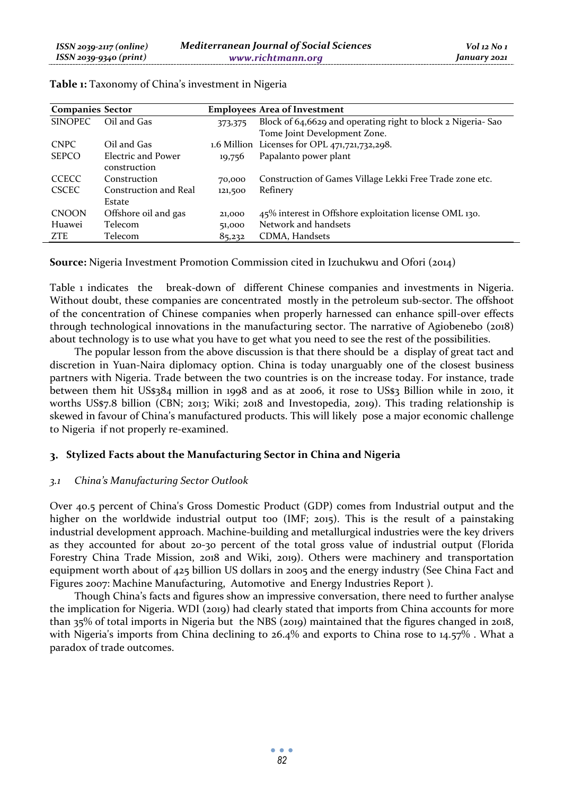| <b>Companies Sector</b> |                       | <b>Employees Area of Investment</b> |                                                             |
|-------------------------|-----------------------|-------------------------------------|-------------------------------------------------------------|
| <b>SINOPEC</b>          | Oil and Gas           | 373,375                             | Block of 64,6629 and operating right to block 2 Nigeria-Sao |
|                         |                       |                                     | Tome Joint Development Zone.                                |
| <b>CNPC</b>             | Oil and Gas           |                                     | 1.6 Million Licenses for OPL 471,721,732,298.               |
| <b>SEPCO</b>            | Electric and Power    | 19,756                              | Papalanto power plant                                       |
|                         | construction          |                                     |                                                             |
| <b>CCECC</b>            | Construction          | 70,000                              | Construction of Games Village Lekki Free Trade zone etc.    |
| <b>CSCEC</b>            | Construction and Real | 121,500                             | Refinery                                                    |
|                         | Estate                |                                     |                                                             |
| <b>CNOON</b>            | Offshore oil and gas  | 21,000                              | 45% interest in Offshore exploitation license OML 130.      |
| Huawei                  | Telecom               | 51,000                              | Network and handsets                                        |
| ZTE                     | Telecom               | 85,232                              | CDMA, Handsets                                              |

**Table 1:** Taxonomy of China's investment in Nigeria

**Source:** Nigeria Investment Promotion Commission cited in Izuchukwu and Ofori (2014)

Table 1 indicates the break-down of different Chinese companies and investments in Nigeria. Without doubt, these companies are concentrated mostly in the petroleum sub-sector. The offshoot of the concentration of Chinese companies when properly harnessed can enhance spill-over effects through technological innovations in the manufacturing sector. The narrative of Agiobenebo (2018) about technology is to use what you have to get what you need to see the rest of the possibilities.

The popular lesson from the above discussion is that there should be a display of great tact and discretion in Yuan-Naira diplomacy option. China is today unarguably one of the closest business partners with Nigeria. Trade between the two countries is on the increase today. For instance, trade between them hit US\$384 million in 1998 and as at 2006, it rose to US\$3 Billion while in 2010, it worths US\$7.8 billion (CBN; 2013; Wiki; 2018 and Investopedia, 2019). This trading relationship is skewed in favour of China's manufactured products. This will likely pose a major economic challenge to Nigeria if not properly re-examined.

### **Stylized Facts about the Manufacturing Sector in China and Nigeria**

### *3.1 China's Manufacturing Sector Outlook*

Over 40.5 percent of China's Gross Domestic Product (GDP) comes from Industrial output and the higher on the worldwide industrial output too (IMF; 2015). This is the result of a painstaking industrial development approach. Machine-building and metallurgical industries were the key drivers as they accounted for about 20-30 percent of the total gross value of industrial output (Florida Forestry China Trade Mission, 2018 and Wiki, 2019). Others were machinery and transportation equipment worth about of 425 billion US dollars in 2005 and the energy industry (See China Fact and Figures 2007: Machine Manufacturing, Automotive and Energy Industries Report ).

Though China's facts and figures show an impressive conversation, there need to further analyse the implication for Nigeria. WDI (2019) had clearly stated that imports from China accounts for more than 35% of total imports in Nigeria but the NBS (2019) maintained that the figures changed in 2018, with Nigeria's imports from China declining to 26.4% and exports to China rose to 14.57% . What a paradox of trade outcomes.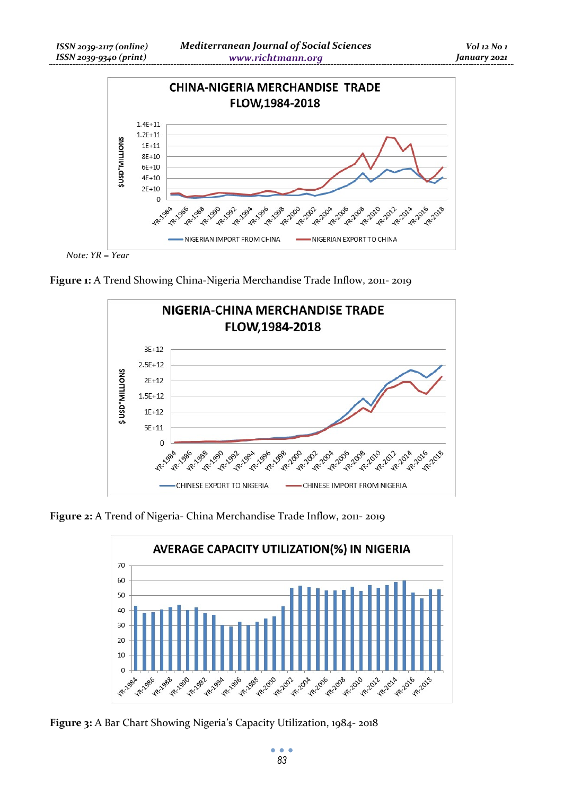

*Note: YR = Year* 

**Figure 1:** A Trend Showing China-Nigeria Merchandise Trade Inflow, 2011- 2019



**Figure 2:** A Trend of Nigeria- China Merchandise Trade Inflow, 2011- 2019



**Figure 3:** A Bar Chart Showing Nigeria's Capacity Utilization, 1984- 2018

ö  $\bullet$ *83*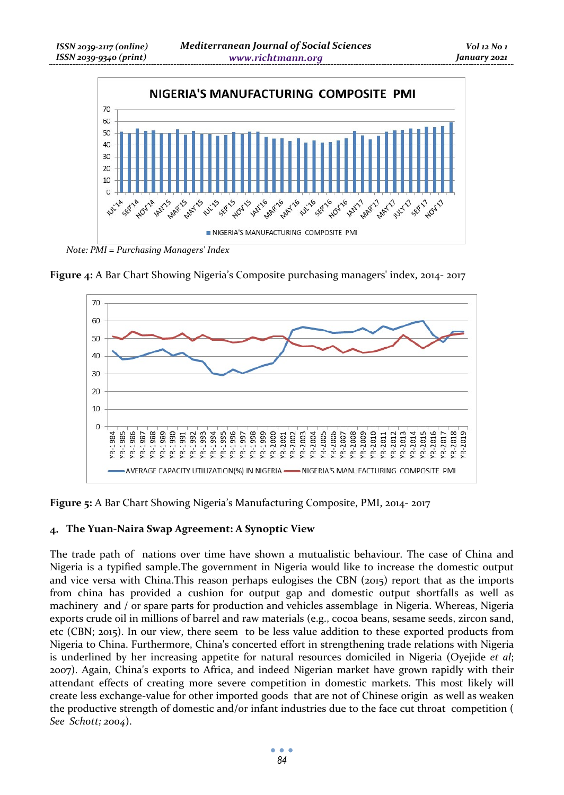

*Note: PMI = Purchasing Managers' Index* 





**Figure 5:** A Bar Chart Showing Nigeria's Manufacturing Composite, PMI, 2014- 2017

# **The Yuan-Naira Swap Agreement: A Synoptic View**

The trade path of nations over time have shown a mutualistic behaviour. The case of China and Nigeria is a typified sample.The government in Nigeria would like to increase the domestic output and vice versa with China.This reason perhaps eulogises the CBN (2015) report that as the imports from china has provided a cushion for output gap and domestic output shortfalls as well as machinery and / or spare parts for production and vehicles assemblage in Nigeria. Whereas, Nigeria exports crude oil in millions of barrel and raw materials (e.g., cocoa beans, sesame seeds, zircon sand, etc (CBN; 2015). In our view, there seem to be less value addition to these exported products from Nigeria to China. Furthermore, China's concerted effort in strengthening trade relations with Nigeria is underlined by her increasing appetite for natural resources domiciled in Nigeria (Oyejide *et al*; 2007). Again, China's exports to Africa, and indeed Nigerian market have grown rapidly with their attendant effects of creating more severe competition in domestic markets. This most likely will create less exchange-value for other imported goods that are not of Chinese origin as well as weaken the productive strength of domestic and/or infant industries due to the face cut throat competition ( *See Schott; 2004*).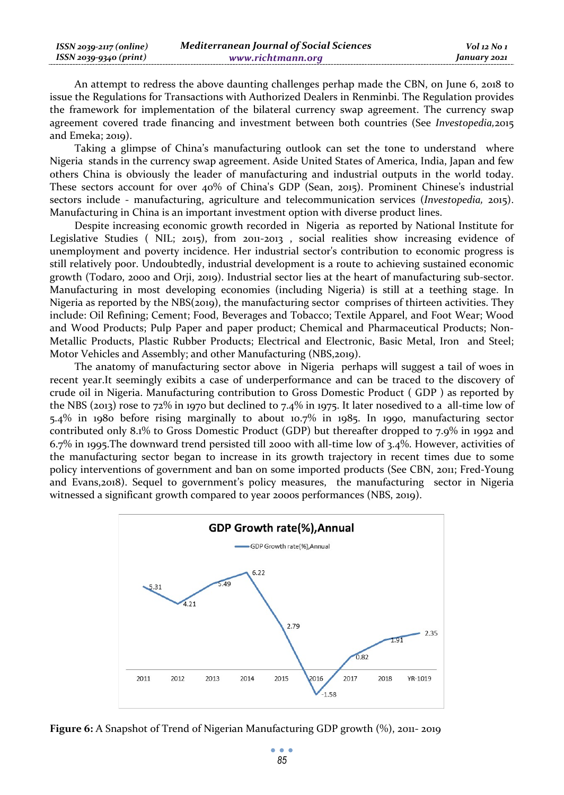An attempt to redress the above daunting challenges perhap made the CBN, on June 6, 2018 to issue the Regulations for Transactions with Authorized Dealers in Renminbi. The Regulation provides the framework for implementation of the bilateral currency swap agreement. The currency swap agreement covered trade financing and investment between both countries (See *Investopedia,*2015 and Emeka; 2019).

Taking a glimpse of China's manufacturing outlook can set the tone to understand where Nigeria stands in the currency swap agreement. Aside United States of America, India, Japan and few others China is obviously the leader of manufacturing and industrial outputs in the world today. These sectors account for over 40% of China's GDP (Sean, 2015). Prominent Chinese's industrial sectors include - manufacturing, agriculture and telecommunication services (*Investopedia,* 2015). Manufacturing in China is an important investment option with diverse product lines.

Despite increasing economic growth recorded in Nigeria as reported by National Institute for Legislative Studies ( NIL; 2015), from 2011-2013 , social realities show increasing evidence of unemployment and poverty incidence. Her industrial sector's contribution to economic progress is still relatively poor. Undoubtedly, industrial development is a route to achieving sustained economic growth (Todaro, 2000 and Orji, 2019). Industrial sector lies at the heart of manufacturing sub-sector. Manufacturing in most developing economies (including Nigeria) is still at a teething stage. In Nigeria as reported by the NBS(2019), the manufacturing sector comprises of thirteen activities. They include: Oil Refining; Cement; Food, Beverages and Tobacco; Textile Apparel, and Foot Wear; Wood and Wood Products; Pulp Paper and paper product; Chemical and Pharmaceutical Products; Non-Metallic Products, Plastic Rubber Products; Electrical and Electronic, Basic Metal, Iron and Steel; Motor Vehicles and Assembly; and other Manufacturing (NBS,2019).

The anatomy of manufacturing sector above in Nigeria perhaps will suggest a tail of woes in recent year.It seemingly exibits a case of underperformance and can be traced to the discovery of crude oil in Nigeria. Manufacturing contribution to Gross Domestic Product ( GDP ) as reported by the NBS (2013) rose to 72% in 1970 but declined to 7.4% in 1975. It later nosedived to a all-time low of 5.4% in 1980 before rising marginally to about 10.7% in 1985. In 1990, manufacturing sector contributed only 8.1% to Gross Domestic Product (GDP) but thereafter dropped to 7.9% in 1992 and 6.7% in 1995.The downward trend persisted till 2000 with all-time low of 3.4%. However, activities of the manufacturing sector began to increase in its growth trajectory in recent times due to some policy interventions of government and ban on some imported products (See CBN, 2011; Fred-Young and Evans,2018). Sequel to government's policy measures, the manufacturing sector in Nigeria witnessed a significant growth compared to year 2000s performances (NBS, 2019).



**Figure 6:** A Snapshot of Trend of Nigerian Manufacturing GDP growth  $\left(\% \right)$ , 2011-2019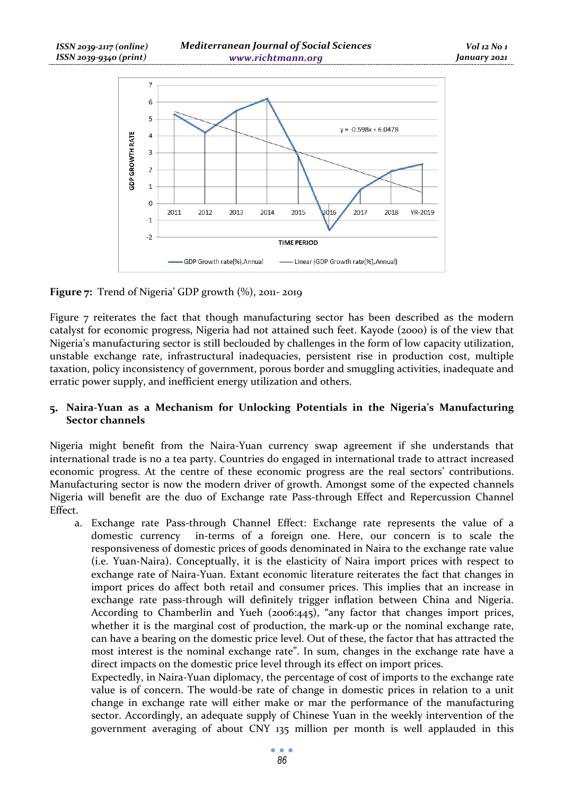

**Figure 7:** Trend of Nigeria' GDP growth  $(\%)$ , 2011-2019

Figure 7 reiterates the fact that though manufacturing sector has been described as the modern catalyst for economic progress, Nigeria had not attained such feet. Kayode (2000) is of the view that Nigeria's manufacturing sector is still beclouded by challenges in the form of low capacity utilization, unstable exchange rate, infrastructural inadequacies, persistent rise in production cost, multiple taxation, policy inconsistency of government, porous border and smuggling activities, inadequate and erratic power supply, and inefficient energy utilization and others.

### **Naira-Yuan as a Mechanism for Unlocking Potentials in the Nigeria's Manufacturing Sector channels**

Nigeria might benefit from the Naira-Yuan currency swap agreement if she understands that international trade is no a tea party. Countries do engaged in international trade to attract increased economic progress. At the centre of these economic progress are the real sectors' contributions. Manufacturing sector is now the modern driver of growth. Amongst some of the expected channels Nigeria will benefit are the duo of Exchange rate Pass-through Effect and Repercussion Channel Effect.

a. Exchange rate Pass-through Channel Effect: Exchange rate represents the value of a domestic currency in-terms of a foreign one. Here, our concern is to scale the responsiveness of domestic prices of goods denominated in Naira to the exchange rate value (i.e. Yuan-Naira). Conceptually, it is the elasticity of Naira import prices with respect to exchange rate of Naira-Yuan. Extant economic literature reiterates the fact that changes in import prices do affect both retail and consumer prices. This implies that an increase in exchange rate pass-through will definitely trigger inflation between China and Nigeria. According to Chamberlin and Yueh (2006:445), "any factor that changes import prices, whether it is the marginal cost of production, the mark-up or the nominal exchange rate, can have a bearing on the domestic price level. Out of these, the factor that has attracted the most interest is the nominal exchange rate". In sum, changes in the exchange rate have a direct impacts on the domestic price level through its effect on import prices.

Expectedly, in Naira-Yuan diplomacy, the percentage of cost of imports to the exchange rate value is of concern. The would-be rate of change in domestic prices in relation to a unit change in exchange rate will either make or mar the performance of the manufacturing sector. Accordingly, an adequate supply of Chinese Yuan in the weekly intervention of the government averaging of about CNY 135 million per month is well applauded in this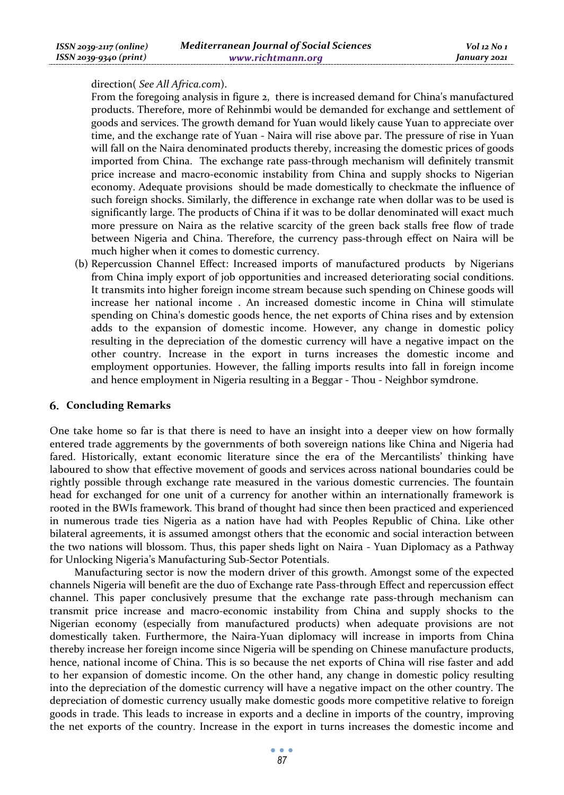#### direction( *See All Africa.com*).

From the foregoing analysis in figure 2, there is increased demand for China's manufactured products. Therefore, more of Rehinmbi would be demanded for exchange and settlement of goods and services. The growth demand for Yuan would likely cause Yuan to appreciate over time, and the exchange rate of Yuan - Naira will rise above par. The pressure of rise in Yuan will fall on the Naira denominated products thereby, increasing the domestic prices of goods imported from China. The exchange rate pass-through mechanism will definitely transmit price increase and macro-economic instability from China and supply shocks to Nigerian economy. Adequate provisions should be made domestically to checkmate the influence of such foreign shocks. Similarly, the difference in exchange rate when dollar was to be used is significantly large. The products of China if it was to be dollar denominated will exact much more pressure on Naira as the relative scarcity of the green back stalls free flow of trade between Nigeria and China. Therefore, the currency pass-through effect on Naira will be much higher when it comes to domestic currency.

(b) Repercussion Channel Effect: Increased imports of manufactured products by Nigerians from China imply export of job opportunities and increased deteriorating social conditions. It transmits into higher foreign income stream because such spending on Chinese goods will increase her national income . An increased domestic income in China will stimulate spending on China's domestic goods hence, the net exports of China rises and by extension adds to the expansion of domestic income. However, any change in domestic policy resulting in the depreciation of the domestic currency will have a negative impact on the other country. Increase in the export in turns increases the domestic income and employment opportunies. However, the falling imports results into fall in foreign income and hence employment in Nigeria resulting in a Beggar - Thou - Neighbor symdrone.

### **Concluding Remarks**

One take home so far is that there is need to have an insight into a deeper view on how formally entered trade aggrements by the governments of both sovereign nations like China and Nigeria had fared. Historically, extant economic literature since the era of the Mercantilists' thinking have laboured to show that effective movement of goods and services across national boundaries could be rightly possible through exchange rate measured in the various domestic currencies. The fountain head for exchanged for one unit of a currency for another within an internationally framework is rooted in the BWIs framework. This brand of thought had since then been practiced and experienced in numerous trade ties Nigeria as a nation have had with Peoples Republic of China. Like other bilateral agreements, it is assumed amongst others that the economic and social interaction between the two nations will blossom. Thus, this paper sheds light on Naira - Yuan Diplomacy as a Pathway for Unlocking Nigeria's Manufacturing Sub-Sector Potentials.

Manufacturing sector is now the modern driver of this growth. Amongst some of the expected channels Nigeria will benefit are the duo of Exchange rate Pass-through Effect and repercussion effect channel. This paper conclusively presume that the exchange rate pass-through mechanism can transmit price increase and macro-economic instability from China and supply shocks to the Nigerian economy (especially from manufactured products) when adequate provisions are not domestically taken. Furthermore, the Naira-Yuan diplomacy will increase in imports from China thereby increase her foreign income since Nigeria will be spending on Chinese manufacture products, hence, national income of China. This is so because the net exports of China will rise faster and add to her expansion of domestic income. On the other hand, any change in domestic policy resulting into the depreciation of the domestic currency will have a negative impact on the other country. The depreciation of domestic currency usually make domestic goods more competitive relative to foreign goods in trade. This leads to increase in exports and a decline in imports of the country, improving the net exports of the country. Increase in the export in turns increases the domestic income and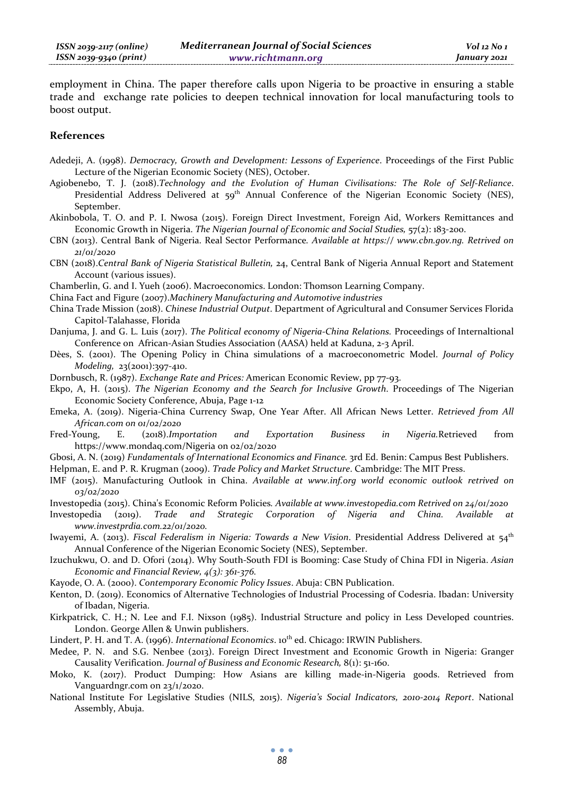employment in China. The paper therefore calls upon Nigeria to be proactive in ensuring a stable trade and exchange rate policies to deepen technical innovation for local manufacturing tools to boost output.

#### **References**

- Adedeji, A. (1998). *Democracy, Growth and Development: Lessons of Experience*. Proceedings of the First Public Lecture of the Nigerian Economic Society (NES), October.
- Agiobenebo, T. J. (2018).*Technology and the Evolution of Human Civilisations: The Role of Self-Reliance*. Presidential Address Delivered at 59<sup>th</sup> Annual Conference of the Nigerian Economic Society (NES), September.
- Akinbobola, T. O. and P. I. Nwosa (2015). Foreign Direct Investment, Foreign Aid, Workers Remittances and Economic Growth in Nigeria. *The Nigerian Journal of Economic and Social Studies*,  $57(2)$ : 183-200.
- CBN (2013). Central Bank of Nigeria. Real Sector Performance*. Available at https:// www.cbn.gov.ng. Retrived on 21/01/2020*
- CBN (2018).*Central Bank of Nigeria Statistical Bulletin,* 24, Central Bank of Nigeria Annual Report and Statement Account (various issues).
- Chamberlin, G. and I. Yueh (2006). Macroeconomics. London: Thomson Learning Company.
- China Fact and Figure (2007).*Machinery Manufacturing and Automotive industries*
- China Trade Mission (2018). *Chinese Industrial Output*. Department of Agricultural and Consumer Services Florida Capitol-Talahasse, Florida
- Danjuma, J. and G. L. Luis (2017). *The Political economy of Nigeria-China Relations.* Proceedings of Internaltional Conference on African-Asian Studies Association (AASA) held at Kaduna, 2-3 April.
- Dèes, S. (2001). The Opening Policy in China simulations of a macroeconometric Model. *Journal of Policy Modeling,* 23(2001):397-410.
- Dornbusch, R. (1987). *Exchange Rate and Prices:* American Economic Review, pp 77-93.
- Ekpo, A, H. (2015). *The Nigerian Economy and the Search for Inclusive Growth*. Proceedings of The Nigerian Economic Society Conference, Abuja, Page 1-12
- Emeka, A. (2019). Nigeria-China Currency Swap, One Year After. All African News Letter. *Retrieved from All African.com on 01/02/2020*
- Fred-Young, E. (2018).*Importation and Exportation Business in Nigeria.*Retrieved from https://www.mondaq.com/Nigeria on 02/02/2020
- Gbosi, A. N. (2019) *Fundamentals of International Economics and Finance.* 3rd Ed. Benin: Campus Best Publishers.
- Helpman, E. and P. R. Krugman (2009). *Trade Policy and Market Structure*. Cambridge: The MIT Press.
- IMF (2015). Manufacturing Outlook in China. *Available at www.inf.org world economic outlook retrived on 03/02/2020*
- Investopedia (2015). China's Economic Reform Policies*. Available at www.investopedia.com Retrived on 24/01/2020*
- Investopedia (2019). *Trade and Strategic Corporation of Nigeria and China. Available at www.investprdia.com.22/01/2020.*
- Iwayemi, A. (2013). *Fiscal Federalism in Nigeria: Towards a New Vision*. Presidential Address Delivered at 54<sup>th</sup> Annual Conference of the Nigerian Economic Society (NES), September.
- Izuchukwu, O. and D. Ofori (2014). Why South-South FDI is Booming: Case Study of China FDI in Nigeria. *Asian Economic and Financial Review, 4(3): 361-376.*
- Kayode, O. A. (2000). *Contemporary Economic Policy Issues*. Abuja: CBN Publication.
- Kenton, D. (2019). Economics of Alternative Technologies of Industrial Processing of Codesria. Ibadan: University of Ibadan, Nigeria.
- Kirkpatrick, C. H.; N. Lee and F.I. Nixson (1985). Industrial Structure and policy in Less Developed countries. London. George Allen & Unwin publishers.

Lindert, P. H. and T. A. (1996). *International Economics*. 10<sup>th</sup> ed. Chicago: IRWIN Publishers.

- Medee, P. N. and S.G. Nenbee (2013). Foreign Direct Investment and Economic Growth in Nigeria: Granger Causality Verification. *Journal of Business and Economic Research,* 8(1): 51-160.
- Moko, K. (2017). Product Dumping: How Asians are killing made-in-Nigeria goods. Retrieved from Vanguardngr.com on 23/1/2020.
- National Institute For Legislative Studies (NILS, 2015). *Nigeria's Social Indicators, 2010-2014 Report*. National Assembly, Abuja.